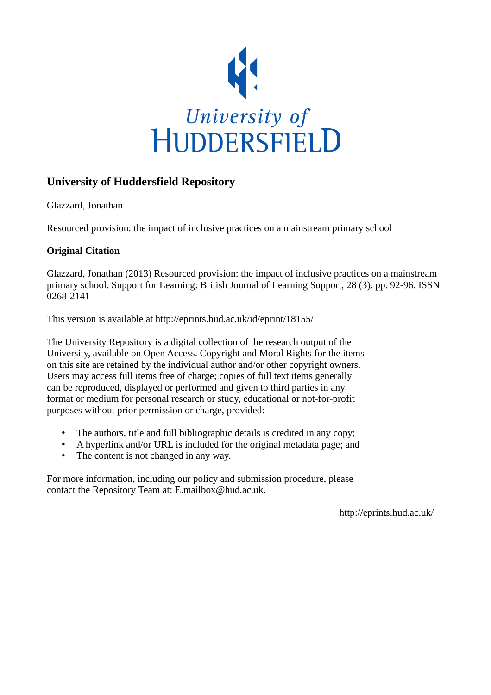

# **University of Huddersfield Repository**

Glazzard, Jonathan

Resourced provision: the impact of inclusive practices on a mainstream primary school

# **Original Citation**

Glazzard, Jonathan (2013) Resourced provision: the impact of inclusive practices on a mainstream primary school. Support for Learning: British Journal of Learning Support, 28 (3). pp. 92-96. ISSN 0268-2141

This version is available at http://eprints.hud.ac.uk/id/eprint/18155/

The University Repository is a digital collection of the research output of the University, available on Open Access. Copyright and Moral Rights for the items on this site are retained by the individual author and/or other copyright owners. Users may access full items free of charge; copies of full text items generally can be reproduced, displayed or performed and given to third parties in any format or medium for personal research or study, educational or not-for-profit purposes without prior permission or charge, provided:

- The authors, title and full bibliographic details is credited in any copy;
- A hyperlink and/or URL is included for the original metadata page; and
- The content is not changed in any way.

For more information, including our policy and submission procedure, please contact the Repository Team at: E.mailbox@hud.ac.uk.

http://eprints.hud.ac.uk/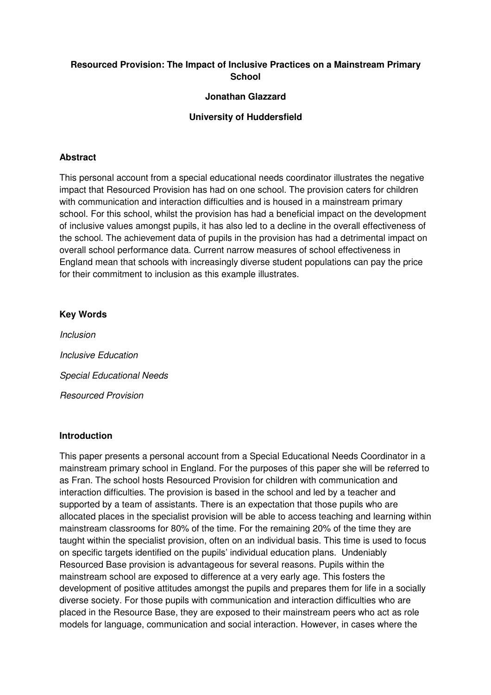# **Resourced Provision: The Impact of Inclusive Practices on a Mainstream Primary School**

## **Jonathan Glazzard**

## **University of Huddersfield**

#### **Abstract**

This personal account from a special educational needs coordinator illustrates the negative impact that Resourced Provision has had on one school. The provision caters for children with communication and interaction difficulties and is housed in a mainstream primary school. For this school, whilst the provision has had a beneficial impact on the development of inclusive values amongst pupils, it has also led to a decline in the overall effectiveness of the school. The achievement data of pupils in the provision has had a detrimental impact on overall school performance data. Current narrow measures of school effectiveness in England mean that schools with increasingly diverse student populations can pay the price for their commitment to inclusion as this example illustrates.

## **Key Words**

Inclusion Inclusive Education Special Educational Needs Resourced Provision

## **Introduction**

This paper presents a personal account from a Special Educational Needs Coordinator in a mainstream primary school in England. For the purposes of this paper she will be referred to as Fran. The school hosts Resourced Provision for children with communication and interaction difficulties. The provision is based in the school and led by a teacher and supported by a team of assistants. There is an expectation that those pupils who are allocated places in the specialist provision will be able to access teaching and learning within mainstream classrooms for 80% of the time. For the remaining 20% of the time they are taught within the specialist provision, often on an individual basis. This time is used to focus on specific targets identified on the pupils' individual education plans. Undeniably Resourced Base provision is advantageous for several reasons. Pupils within the mainstream school are exposed to difference at a very early age. This fosters the development of positive attitudes amongst the pupils and prepares them for life in a socially diverse society. For those pupils with communication and interaction difficulties who are placed in the Resource Base, they are exposed to their mainstream peers who act as role models for language, communication and social interaction. However, in cases where the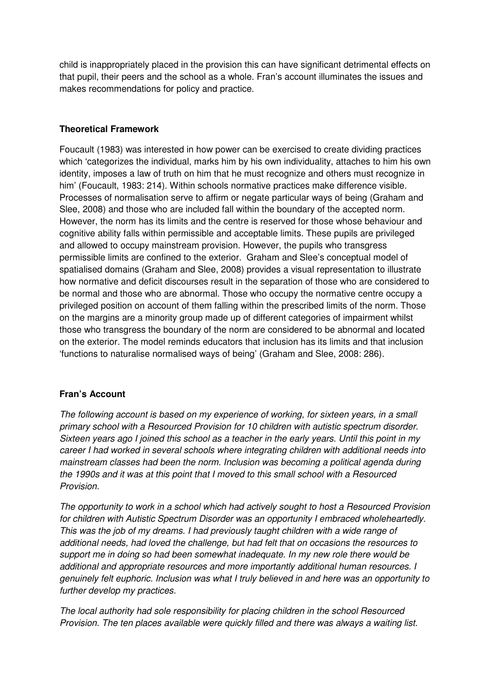child is inappropriately placed in the provision this can have significant detrimental effects on that pupil, their peers and the school as a whole. Fran's account illuminates the issues and makes recommendations for policy and practice.

# **Theoretical Framework**

Foucault (1983) was interested in how power can be exercised to create dividing practices which 'categorizes the individual, marks him by his own individuality, attaches to him his own identity, imposes a law of truth on him that he must recognize and others must recognize in him' (Foucault, 1983: 214). Within schools normative practices make difference visible. Processes of normalisation serve to affirm or negate particular ways of being (Graham and Slee, 2008) and those who are included fall within the boundary of the accepted norm. However, the norm has its limits and the centre is reserved for those whose behaviour and cognitive ability falls within permissible and acceptable limits. These pupils are privileged and allowed to occupy mainstream provision. However, the pupils who transgress permissible limits are confined to the exterior. Graham and Slee's conceptual model of spatialised domains (Graham and Slee, 2008) provides a visual representation to illustrate how normative and deficit discourses result in the separation of those who are considered to be normal and those who are abnormal. Those who occupy the normative centre occupy a privileged position on account of them falling within the prescribed limits of the norm. Those on the margins are a minority group made up of different categories of impairment whilst those who transgress the boundary of the norm are considered to be abnormal and located on the exterior. The model reminds educators that inclusion has its limits and that inclusion 'functions to naturalise normalised ways of being' (Graham and Slee, 2008: 286).

# **Fran's Account**

The following account is based on my experience of working, for sixteen years, in a small primary school with a Resourced Provision for 10 children with autistic spectrum disorder. Sixteen years ago I joined this school as a teacher in the early years. Until this point in my career I had worked in several schools where integrating children with additional needs into mainstream classes had been the norm. Inclusion was becoming a political agenda during the 1990s and it was at this point that I moved to this small school with a Resourced Provision.

The opportunity to work in a school which had actively sought to host a Resourced Provision for children with Autistic Spectrum Disorder was an opportunity I embraced wholeheartedly. This was the job of my dreams. I had previously taught children with a wide range of additional needs, had loved the challenge, but had felt that on occasions the resources to support me in doing so had been somewhat inadequate. In my new role there would be additional and appropriate resources and more importantly additional human resources. I genuinely felt euphoric. Inclusion was what I truly believed in and here was an opportunity to further develop my practices.

The local authority had sole responsibility for placing children in the school Resourced Provision. The ten places available were quickly filled and there was always a waiting list.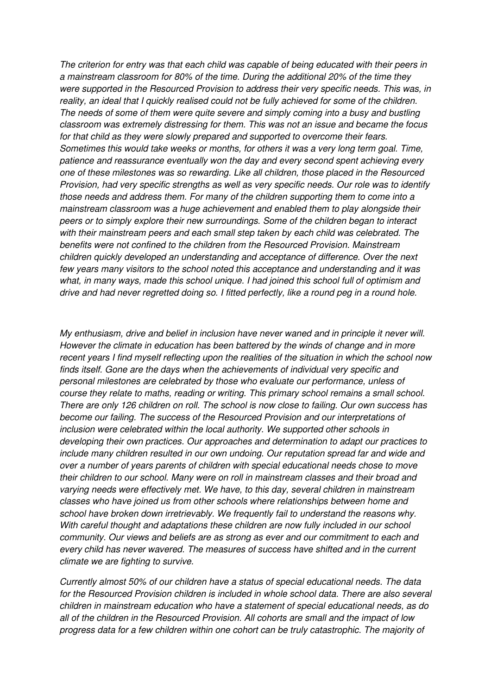The criterion for entry was that each child was capable of being educated with their peers in a mainstream classroom for 80% of the time. During the additional 20% of the time they were supported in the Resourced Provision to address their very specific needs. This was, in reality, an ideal that I quickly realised could not be fully achieved for some of the children. The needs of some of them were quite severe and simply coming into a busy and bustling classroom was extremely distressing for them. This was not an issue and became the focus for that child as they were slowly prepared and supported to overcome their fears. Sometimes this would take weeks or months, for others it was a very long term goal. Time, patience and reassurance eventually won the day and every second spent achieving every one of these milestones was so rewarding. Like all children, those placed in the Resourced Provision, had very specific strengths as well as very specific needs. Our role was to identify those needs and address them. For many of the children supporting them to come into a mainstream classroom was a huge achievement and enabled them to play alongside their peers or to simply explore their new surroundings. Some of the children began to interact with their mainstream peers and each small step taken by each child was celebrated. The benefits were not confined to the children from the Resourced Provision. Mainstream children quickly developed an understanding and acceptance of difference. Over the next few years many visitors to the school noted this acceptance and understanding and it was what, in many ways, made this school unique. I had joined this school full of optimism and drive and had never regretted doing so. I fitted perfectly, like a round peg in a round hole.

My enthusiasm, drive and belief in inclusion have never waned and in principle it never will. However the climate in education has been battered by the winds of change and in more recent years I find myself reflecting upon the realities of the situation in which the school now finds itself. Gone are the days when the achievements of individual very specific and personal milestones are celebrated by those who evaluate our performance, unless of course they relate to maths, reading or writing. This primary school remains a small school. There are only 126 children on roll. The school is now close to failing. Our own success has become our failing. The success of the Resourced Provision and our interpretations of inclusion were celebrated within the local authority. We supported other schools in developing their own practices. Our approaches and determination to adapt our practices to include many children resulted in our own undoing. Our reputation spread far and wide and over a number of years parents of children with special educational needs chose to move their children to our school. Many were on roll in mainstream classes and their broad and varying needs were effectively met. We have, to this day, several children in mainstream classes who have joined us from other schools where relationships between home and school have broken down irretrievably. We frequently fail to understand the reasons why. With careful thought and adaptations these children are now fully included in our school community. Our views and beliefs are as strong as ever and our commitment to each and every child has never wavered. The measures of success have shifted and in the current climate we are fighting to survive.

Currently almost 50% of our children have a status of special educational needs. The data for the Resourced Provision children is included in whole school data. There are also several children in mainstream education who have a statement of special educational needs, as do all of the children in the Resourced Provision. All cohorts are small and the impact of low progress data for a few children within one cohort can be truly catastrophic. The majority of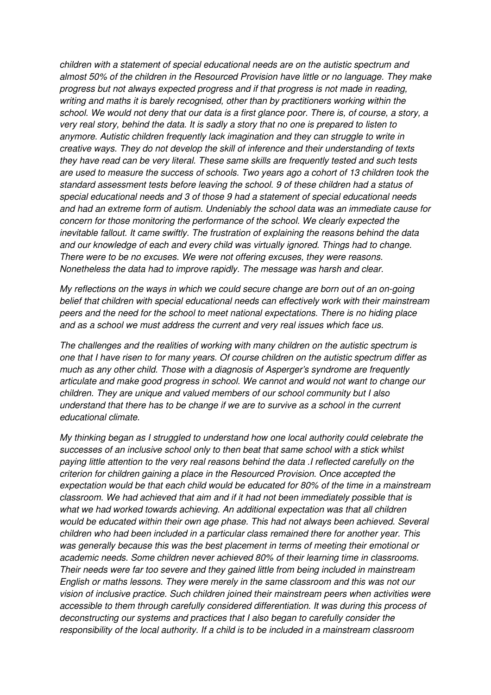children with a statement of special educational needs are on the autistic spectrum and almost 50% of the children in the Resourced Provision have little or no language. They make progress but not always expected progress and if that progress is not made in reading, writing and maths it is barely recognised, other than by practitioners working within the school. We would not deny that our data is a first glance poor. There is, of course, a story, a very real story, behind the data. It is sadly a story that no one is prepared to listen to anymore. Autistic children frequently lack imagination and they can struggle to write in creative ways. They do not develop the skill of inference and their understanding of texts they have read can be very literal. These same skills are frequently tested and such tests are used to measure the success of schools. Two years ago a cohort of 13 children took the standard assessment tests before leaving the school. 9 of these children had a status of special educational needs and 3 of those 9 had a statement of special educational needs and had an extreme form of autism. Undeniably the school data was an immediate cause for concern for those monitoring the performance of the school. We clearly expected the inevitable fallout. It came swiftly. The frustration of explaining the reasons behind the data and our knowledge of each and every child was virtually ignored. Things had to change. There were to be no excuses. We were not offering excuses, they were reasons. Nonetheless the data had to improve rapidly. The message was harsh and clear.

My reflections on the ways in which we could secure change are born out of an on-going belief that children with special educational needs can effectively work with their mainstream peers and the need for the school to meet national expectations. There is no hiding place and as a school we must address the current and very real issues which face us.

The challenges and the realities of working with many children on the autistic spectrum is one that I have risen to for many years. Of course children on the autistic spectrum differ as much as any other child. Those with a diagnosis of Asperger's syndrome are frequently articulate and make good progress in school. We cannot and would not want to change our children. They are unique and valued members of our school community but I also understand that there has to be change if we are to survive as a school in the current educational climate.

My thinking began as I struggled to understand how one local authority could celebrate the successes of an inclusive school only to then beat that same school with a stick whilst paying little attention to the very real reasons behind the data .I reflected carefully on the criterion for children gaining a place in the Resourced Provision. Once accepted the expectation would be that each child would be educated for 80% of the time in a mainstream classroom. We had achieved that aim and if it had not been immediately possible that is what we had worked towards achieving. An additional expectation was that all children would be educated within their own age phase. This had not always been achieved. Several children who had been included in a particular class remained there for another year. This was generally because this was the best placement in terms of meeting their emotional or academic needs. Some children never achieved 80% of their learning time in classrooms. Their needs were far too severe and they gained little from being included in mainstream English or maths lessons. They were merely in the same classroom and this was not our vision of inclusive practice. Such children joined their mainstream peers when activities were accessible to them through carefully considered differentiation. It was during this process of deconstructing our systems and practices that I also began to carefully consider the responsibility of the local authority. If a child is to be included in a mainstream classroom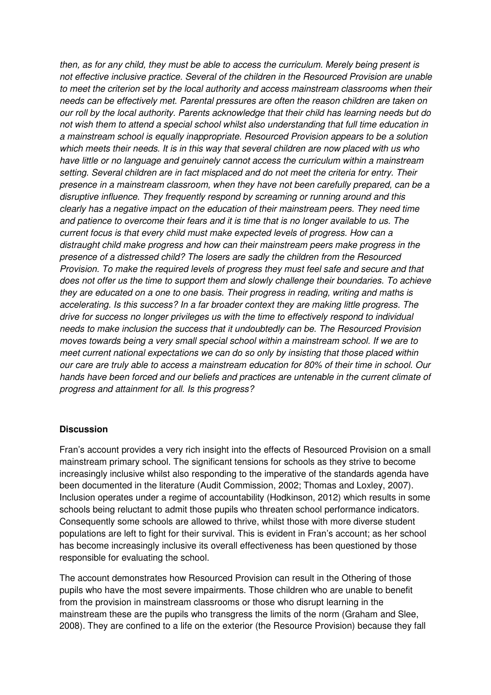then, as for any child, they must be able to access the curriculum. Merely being present is not effective inclusive practice. Several of the children in the Resourced Provision are unable to meet the criterion set by the local authority and access mainstream classrooms when their needs can be effectively met. Parental pressures are often the reason children are taken on our roll by the local authority. Parents acknowledge that their child has learning needs but do not wish them to attend a special school whilst also understanding that full time education in a mainstream school is equally inappropriate. Resourced Provision appears to be a solution which meets their needs. It is in this way that several children are now placed with us who have little or no language and genuinely cannot access the curriculum within a mainstream setting. Several children are in fact misplaced and do not meet the criteria for entry. Their presence in a mainstream classroom, when they have not been carefully prepared, can be a disruptive influence. They frequently respond by screaming or running around and this clearly has a negative impact on the education of their mainstream peers. They need time and patience to overcome their fears and it is time that is no longer available to us. The current focus is that every child must make expected levels of progress. How can a distraught child make progress and how can their mainstream peers make progress in the presence of a distressed child? The losers are sadly the children from the Resourced Provision. To make the required levels of progress they must feel safe and secure and that does not offer us the time to support them and slowly challenge their boundaries. To achieve they are educated on a one to one basis. Their progress in reading, writing and maths is accelerating. Is this success? In a far broader context they are making little progress. The drive for success no longer privileges us with the time to effectively respond to individual needs to make inclusion the success that it undoubtedly can be. The Resourced Provision moves towards being a very small special school within a mainstream school. If we are to meet current national expectations we can do so only by insisting that those placed within our care are truly able to access a mainstream education for 80% of their time in school. Our hands have been forced and our beliefs and practices are untenable in the current climate of progress and attainment for all. Is this progress?

#### **Discussion**

Fran's account provides a very rich insight into the effects of Resourced Provision on a small mainstream primary school. The significant tensions for schools as they strive to become increasingly inclusive whilst also responding to the imperative of the standards agenda have been documented in the literature (Audit Commission, 2002; Thomas and Loxley, 2007). Inclusion operates under a regime of accountability (Hodkinson, 2012) which results in some schools being reluctant to admit those pupils who threaten school performance indicators. Consequently some schools are allowed to thrive, whilst those with more diverse student populations are left to fight for their survival. This is evident in Fran's account; as her school has become increasingly inclusive its overall effectiveness has been questioned by those responsible for evaluating the school.

The account demonstrates how Resourced Provision can result in the Othering of those pupils who have the most severe impairments. Those children who are unable to benefit from the provision in mainstream classrooms or those who disrupt learning in the mainstream these are the pupils who transgress the limits of the norm (Graham and Slee, 2008). They are confined to a life on the exterior (the Resource Provision) because they fall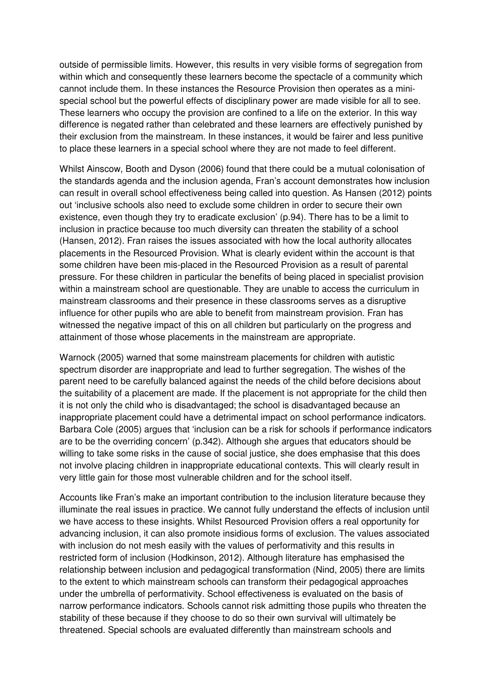outside of permissible limits. However, this results in very visible forms of segregation from within which and consequently these learners become the spectacle of a community which cannot include them. In these instances the Resource Provision then operates as a minispecial school but the powerful effects of disciplinary power are made visible for all to see. These learners who occupy the provision are confined to a life on the exterior. In this way difference is negated rather than celebrated and these learners are effectively punished by their exclusion from the mainstream. In these instances, it would be fairer and less punitive to place these learners in a special school where they are not made to feel different.

Whilst Ainscow, Booth and Dyson (2006) found that there could be a mutual colonisation of the standards agenda and the inclusion agenda, Fran's account demonstrates how inclusion can result in overall school effectiveness being called into question. As Hansen (2012) points out 'inclusive schools also need to exclude some children in order to secure their own existence, even though they try to eradicate exclusion' (p.94). There has to be a limit to inclusion in practice because too much diversity can threaten the stability of a school (Hansen, 2012). Fran raises the issues associated with how the local authority allocates placements in the Resourced Provision. What is clearly evident within the account is that some children have been mis-placed in the Resourced Provision as a result of parental pressure. For these children in particular the benefits of being placed in specialist provision within a mainstream school are questionable. They are unable to access the curriculum in mainstream classrooms and their presence in these classrooms serves as a disruptive influence for other pupils who are able to benefit from mainstream provision. Fran has witnessed the negative impact of this on all children but particularly on the progress and attainment of those whose placements in the mainstream are appropriate.

Warnock (2005) warned that some mainstream placements for children with autistic spectrum disorder are inappropriate and lead to further segregation. The wishes of the parent need to be carefully balanced against the needs of the child before decisions about the suitability of a placement are made. If the placement is not appropriate for the child then it is not only the child who is disadvantaged; the school is disadvantaged because an inappropriate placement could have a detrimental impact on school performance indicators. Barbara Cole (2005) argues that 'inclusion can be a risk for schools if performance indicators are to be the overriding concern' (p.342). Although she argues that educators should be willing to take some risks in the cause of social justice, she does emphasise that this does not involve placing children in inappropriate educational contexts. This will clearly result in very little gain for those most vulnerable children and for the school itself.

Accounts like Fran's make an important contribution to the inclusion literature because they illuminate the real issues in practice. We cannot fully understand the effects of inclusion until we have access to these insights. Whilst Resourced Provision offers a real opportunity for advancing inclusion, it can also promote insidious forms of exclusion. The values associated with inclusion do not mesh easily with the values of performativity and this results in restricted form of inclusion (Hodkinson, 2012). Although literature has emphasised the relationship between inclusion and pedagogical transformation (Nind, 2005) there are limits to the extent to which mainstream schools can transform their pedagogical approaches under the umbrella of performativity. School effectiveness is evaluated on the basis of narrow performance indicators. Schools cannot risk admitting those pupils who threaten the stability of these because if they choose to do so their own survival will ultimately be threatened. Special schools are evaluated differently than mainstream schools and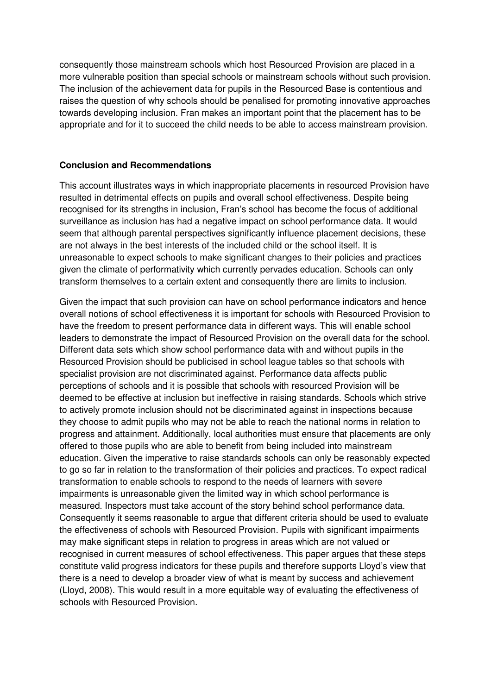consequently those mainstream schools which host Resourced Provision are placed in a more vulnerable position than special schools or mainstream schools without such provision. The inclusion of the achievement data for pupils in the Resourced Base is contentious and raises the question of why schools should be penalised for promoting innovative approaches towards developing inclusion. Fran makes an important point that the placement has to be appropriate and for it to succeed the child needs to be able to access mainstream provision.

#### **Conclusion and Recommendations**

This account illustrates ways in which inappropriate placements in resourced Provision have resulted in detrimental effects on pupils and overall school effectiveness. Despite being recognised for its strengths in inclusion, Fran's school has become the focus of additional surveillance as inclusion has had a negative impact on school performance data. It would seem that although parental perspectives significantly influence placement decisions, these are not always in the best interests of the included child or the school itself. It is unreasonable to expect schools to make significant changes to their policies and practices given the climate of performativity which currently pervades education. Schools can only transform themselves to a certain extent and consequently there are limits to inclusion.

Given the impact that such provision can have on school performance indicators and hence overall notions of school effectiveness it is important for schools with Resourced Provision to have the freedom to present performance data in different ways. This will enable school leaders to demonstrate the impact of Resourced Provision on the overall data for the school. Different data sets which show school performance data with and without pupils in the Resourced Provision should be publicised in school league tables so that schools with specialist provision are not discriminated against. Performance data affects public perceptions of schools and it is possible that schools with resourced Provision will be deemed to be effective at inclusion but ineffective in raising standards. Schools which strive to actively promote inclusion should not be discriminated against in inspections because they choose to admit pupils who may not be able to reach the national norms in relation to progress and attainment. Additionally, local authorities must ensure that placements are only offered to those pupils who are able to benefit from being included into mainstream education. Given the imperative to raise standards schools can only be reasonably expected to go so far in relation to the transformation of their policies and practices. To expect radical transformation to enable schools to respond to the needs of learners with severe impairments is unreasonable given the limited way in which school performance is measured. Inspectors must take account of the story behind school performance data. Consequently it seems reasonable to argue that different criteria should be used to evaluate the effectiveness of schools with Resourced Provision. Pupils with significant impairments may make significant steps in relation to progress in areas which are not valued or recognised in current measures of school effectiveness. This paper argues that these steps constitute valid progress indicators for these pupils and therefore supports Lloyd's view that there is a need to develop a broader view of what is meant by success and achievement (Lloyd, 2008). This would result in a more equitable way of evaluating the effectiveness of schools with Resourced Provision.